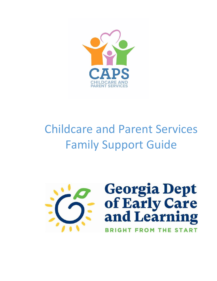

# Childcare and Parent Services Family Support Guide

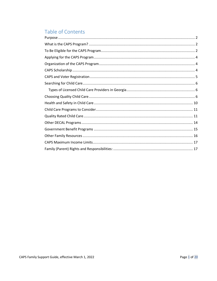## Table of Contents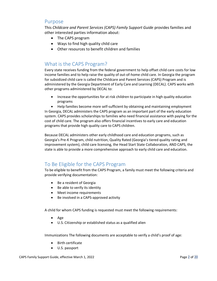## <span id="page-2-0"></span>Purpose

This *Childcare and Parent Services (CAPS) Family Support Guide* provides families and other interested parties information about:

- The CAPS program
- Ways to find high quality child care
- Other resources to benefit children and families

## <span id="page-2-1"></span>What is the CAPS Program?

Every state receives funding from the federal government to help offset child care costs for low income families and to help raise the quality of out-of-home child care. In Georgia the program for subsidized child care is called the Childcare and Parent Services (CAPS) Program and is administered by the Georgia Department of Early Care and Learning (DECAL). CAPS works with other programs administered by DECAL to:

• Increase the opportunities for at risk children to participate in high quality education programs

• Help families become more self-sufficient by obtaining and maintaining employment In Georgia, DECAL administers the CAPS program as an important part of the early education system. CAPS provides scholarships to families who need financial assistance with paying for the cost of child care. The program also offers financial incentives to early care and education programs that provide high quality care to CAPS children.

Because DECAL administers other early childhood care and education programs, such as Georgia's Pre-K Program, child nutrition, Quality Rated (Georgia's tiered quality rating and improvement system), child care licensing, the Head Start State Collaboration, AND CAPS, the state is able to provide a more comprehensive approach to early child care and education.

## <span id="page-2-2"></span>To Be Eligible for the CAPS Program

To be eligible to benefit from the CAPS Program, a family must meet the following criteria and provide verifying documentation:

- Be a resident of Georgia
- Be able to verify its identity
- Meet income requirements
- Be involved in a CAPS-approved activity

A child for whom CAPS funding is requested must meet the following requirements:

- Age
- U.S. Citizenship or established status as a qualified alien

Immunizations The following documents are acceptable to verify a child's proof of age:

- Birth certificate
- U.S. passport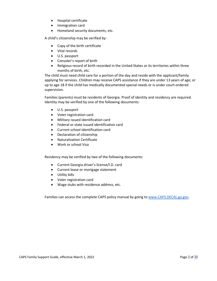- Hospital certificate
- Immigration card
- Homeland security documents, etc.

A child's citizenship may be verified by:

- Copy of the birth certificate
- Vital records
- U.S. passport
- Consoler's report of birth
- Religious record of birth recorded in the United States or its territories within three months of birth, etc.

The child must need child care for a portion of the day and reside with the applicant/family applying for services. Children may receive CAPS assistance if they are under 13 years of age; or up to age 18 if the child has medically documented special needs or is under court-ordered supervision.

Families (parents) must be residents of Georgia. Proof of identity and residency are required. Identity may be verified by one of the following documents:

- U.S. passport
- Voter registration card
- Military issued identification card
- Federal or state issued identification card
- Current school identification card
- Declaration of citizenship
- Naturalization Certificate
- Work or school Visa

Residency may be verified by two of the following documents:

- Current Georgia driver's license/I.D. card
- Current lease or mortgage statement
- Utility bills
- Voter registration card
- Wage stubs with residence address, etc.

Families can access the complete CAPS policy manual by going t[o www.CAPS.DECAL.ga.gov.](http://www.caps.decal.ga.gov/)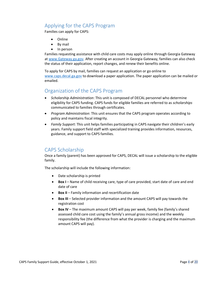## <span id="page-4-0"></span>Applying for the CAPS Program

Families can apply for CAPS:

- Online
- By mail
- In person

Families requesting assistance with child care costs may apply online through Georgia Gateway at [www.Gateway.ga.gov.](http://www.gateway.ga.gov/) After creating an account in Georgia Gateway, families can also check the status of their application, report changes, and renew their benefits online.

To apply for CAPS by mail, families can request an application or go online to [www.caps.decal.ga.gov](http://www.caps.decal.ga.gov/) to download a paper application. The paper application can be mailed or emailed.

## <span id="page-4-1"></span>Organization of the CAPS Program

- *Scholarship Administration*: This unit is composed of DECAL personnel who determine eligibility for CAPS funding. CAPS funds for eligible families are referred to as *scholarships* communicated to families through certificates.
- *Program Administration*: This unit ensures that the CAPS program operates according to policy and maintains fiscal integrity.
- *Family Support*: This unit helps families participating in CAPS navigate their children's early years. Family support field staff with specialized training provides information, resources, guidance, and support to CAPS families.

## <span id="page-4-2"></span>CAPS Scholarship

Once a family (parent) has been approved for CAPS, DECAL will issue a scholarship to the eligible family.

The scholarship will include the following information:

- Date scholarship is printed
- **Box I** Name of child receiving care, type of care provided, start date of care and end date of care
- **Box II** Family information and recertification date
- **Box III** Selected provider information and the amount CAPS will pay towards the registration cost
- **Box IV** The maximum amount CAPS will pay per week, family fee (family's shared assessed child care cost using the family's annual gross income) and the weekly responsibility fee (the difference from what the provider is charging and the maximum amount CAPS will pay).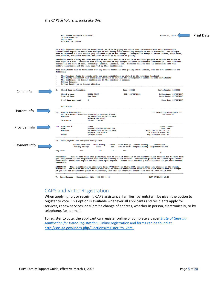

## <span id="page-5-0"></span>CAPS and Voter Registration

When applying for, or receiving CAPS assistance, families (parents) will be given the option to register to vote. This option is available whenever all applicants and recipients apply for services, renew services, or submit a change of address, whether in person, electronically, or by telephone, fax, or mail.

To register to vote, the applicant can register online or complete a paper *[State of Georgia](http://sos.ga.gov/admin/files/Voter_Registration_Application_8-10.pdf)  [Application for Voter Registration.](http://sos.ga.gov/admin/files/Voter_Registration_Application_8-10.pdf)* Online registration and forms can be found at [http://sos.ga.gov/index.php/Elections/register\\_to\\_vote.](http://sos.ga.gov/index.php/Elections/register_to_vote)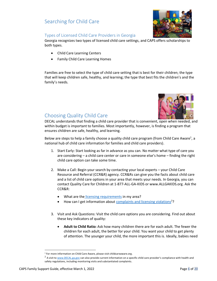## <span id="page-6-0"></span>Searching for Child Care



## <span id="page-6-1"></span>Types of Licensed Child Care Providers in Georgia

Georgia recognizes two types of licensed child care settings, and CAPS offers scholarships to both types.

- Child Care Learning Centers
- Family Child Care Learning Homes

Families are free to select the type of child care setting that is best for their children; the type that will keep children safe, healthy, and learning; the type that best fits the children's and the family's needs.



## <span id="page-6-2"></span>Choosing Quality Child Care

DECAL understands that finding a child care provider that is convenient, open when needed, and within budget is important to families. Most importantly, however, is finding a program that ensures children are safe, healthy, and learning.

Below are steps to help a family choose a quality child care program (from Child Care Aware<sup>1</sup>, a national hub of child care information for families and child care providers).

- 1. Start Early: Start looking as far in advance as you can. No matter what type of care you are considering – a child care center or care in someone else's home – finding the right child care option can take some time.
- 2. Make a Call: Begin your search by contacting your local experts your Child Care Resource and Referral (CCR&R) agency. CCR&Rs can give you the facts about child care and a list of child care options in your area that meets your needs. In Georgia, you can contact Quality Care for Children at 1-877-ALL-GA-KIDS or www.ALLGAKIDS.org. Ask the CCR&R:
	- What are the [licensing requirements](http://www.decal.ga.gov/CCS/RulesAndRegulations.aspx) in my area?
	- How can I get information abou[t complaints and licensing violations](http://www.decal.ga.gov/ProviderSearch/ChildCare)<sup>2</sup>?
- 3. Visit and Ask Questions: Visit the child care options you are considering. Find out about these key indicators of quality:
	- **Adult to Child Ratio:** Ask how many children there are for each adult. The fewer the children for each adult, the better for your child. You want your child to get plenty of attention. The younger your child, the more important this is. Ideally, babies need

<sup>&</sup>lt;sup>1</sup> For more information on Child Care Aware, please visit childcareaware.org.

<sup>&</sup>lt;sup>2</sup> A visit to <u>www.DECAL.ga.gov</u> can also provide current information on a specific child care provider's compliance with health and safety regulations, including monitoring visits and substantiated complaints.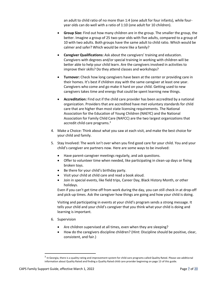an adult to child ratio of no more than 1:4 (one adult for four infants), while fouryear olds can do well with a ratio of 1:10 (one adult for 10 children).

- **Group Size:** Find out how many children are in the group. The smaller the group, the better. Imagine a group of 25 two-year olds with five adults, compared to a group of 10 with two adults. Both groups have the same adult to child ratio. Which would be calmer and safer? Which would be more like a family?
- **Caregiver Qualifications:** Ask about the caregivers' training and education. Caregivers with degrees and/or special training in working with children will be better able to help your child learn. Are the caregivers involved in activities to improve their skills? Do they attend classes and workshops?
- **Turnover:** Check how long caregivers have been at the center or providing care in their homes. It's best if children stay with the same caregiver at least one year. Caregivers who come and go make it hard on your child. Getting used to new caregivers takes time and energy that could be spent learning new things.
- **Accreditation:** Find out if the child care provider has been accredited by a national organization. Providers that are accredited have met voluntary standards for child care that are higher than most state licensing requirements. The National Association for the Education of Young Children (NAEYC) and the National Association for Family Child Care (NAFCC) are the two largest organizations that accredit child care programs.<sup>3</sup>
- 4. Make a Choice: Think about what you saw at each visit, and make the best choice for your child and family.
- 5. Stay Involved: The work isn't over when you find good care for your child. You and your child's caregiver are partners now. Here are some ways to be involved:
	- Have parent-caregiver meetings regularly, and ask questions.
	- Offer to volunteer time when needed, like participating in clean-up days or fixing broken toys.
	- Be there for your child's birthday party.
	- Visit your child at child care and read a book aloud.
	- Join in special events, like field trips, Career Day, Black History Month, or other holidays.

Even if you can't get time off from work during the day, you can still check in at drop-off and pick-up times. Ask the caregiver how things are going and how your child is doing.

Visiting and participating in events at your child's program sends a strong message. It tells your child and your child's caregiver that you think what your child is doing and learning is important.

- 6. Supervision
	- Are children supervised at all times, even when they are sleeping?
	- How do the caregivers discipline children? (Hint: Discipline should be positive, clear, consistent, and fair.)

<sup>&</sup>lt;sup>3</sup> In Georgia, there is a quality rating and improvement system for child care programs called Quality Rated. Please see additional information about Quality Rated and finding a Quality Rated child care provider beginning on page 13 of this guide.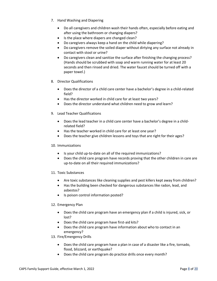- 7. Hand Washing and Diapering
	- Do all caregivers and children wash their hands often, especially before eating and after using the bathroom or changing diapers?
	- Is the place where diapers are changed clean?
	- Do caregivers always keep a hand on the child while diapering?
	- Do caregivers remove the soiled diaper without dirtying any surface not already in contact with stool or urine?
	- Do caregivers clean and sanitize the surface after finishing the changing process? (Hands should be scrubbed with soap and warm running water for at least 20 seconds and then rinsed and dried. The water faucet should be turned off with a paper towel.)
- 8. Director Qualifications
	- Does the director of a child care center have a bachelor's degree in a child-related field?
	- Has the director worked in child care for at least two years?
	- Does the director understand what children need to grow and learn?
- 9. Lead Teacher Qualifications
	- Does the lead teacher in a child care center have a bachelor's degree in a childrelated field?
	- Has the teacher worked in child care for at least one year?
	- Does the teacher give children lessons and toys that are right for their ages?

## 10. Immunizations

- Is your child up-to-date on all of the required immunizations?
- Does the child care program have records proving that the other children in care are up-to-date on all their required immunizations?
- 11. Toxic Substances
	- Are toxic substances like cleaning supplies and pest killers kept away from children?
	- Has the building been checked for dangerous substances like radon, lead, and asbestos?
	- Is poison control information posted?

## 12. Emergency Plan

- Does the child care program have an emergency plan if a child is injured, sick, or lost?
- Does the child care program have first-aid kits?
- Does the child care program have information about who to contact in an emergency?

13. Fire/Emergency Drills

- Does the child care program have a plan in case of a disaster like a fire, tornado, flood, blizzard, or earthquake?
- Does the child care program do practice drills once every month?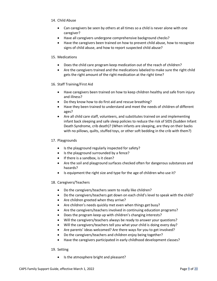## 14. Child Abuse

- Can caregivers be seen by others at all times so a child is never alone with one caregiver?
- Have all caregivers undergone comprehensive background checks?
- Have the caregivers been trained on how to prevent child abuse, how to recognize signs of child abuse, and how to report suspected child abuse?

## 15. Medications

- Does the child care program keep medication out of the reach of children?
- Are the caregivers trained and the medications labeled to make sure the right child gets the right amount of the right medication at the right time?

## 16. Staff Training/First Aid

- Have caregivers been trained on how to keep children healthy and safe from injury and illness?
- Do they know how to do first aid and rescue breathing?
- Have they been trained to understand and meet the needs of children of different ages?
- Are all child care staff, volunteers, and substitutes trained on and implementing infant back sleeping and safe sleep policies to reduce the risk of SIDS (Sudden Infant Death Syndrome, crib death)? (When infants are sleeping, are they on their backs with no pillows, quilts, stuffed toys, or other soft bedding in the crib with them?)

## 17. Playgrounds

- Is the playground regularly inspected for safety?
- Is the playground surrounded by a fence?
- If there is a sandbox, is it clean?
- Are the soil and playground surfaces checked often for dangerous substances and hazards?
- Is equipment the right size and type for the age of children who use it?

## 18. Caregivers/Teachers

- Do the caregivers/teachers seem to really like children?
- Do the caregivers/teachers get down on each child's level to speak with the child?
- Are children greeted when they arrive?
- Are children's needs quickly met even when things get busy?
- Are the caregivers/teachers involved in continuing education programs?
- Does the program keep up with children's changing interests?
- Will the caregivers/teachers always be ready to answer your questions?
- Will the caregivers/teachers tell you what your child is doing every day?
- Are parents' ideas welcomed? Are there ways for you to get involved?
- Do the caregivers/teachers and children enjoy being together?
- Have the caregivers participated in early childhood development classes?

## 19. Setting

• Is the atmosphere bright and pleasant?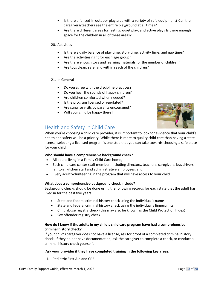- Is there a fenced-in outdoor play area with a variety of safe equipment? Can the caregivers/teachers see the entire playground at all times?
- Are there different areas for resting, quiet play, and active play? Is there enough space for the children in all of these areas?

## 20. Activities

- Is there a daily balance of play time, story time, activity time, and nap time?
- Are the activities right for each age group?
- Are there enough toys and learning materials for the number of children?
- Are toys clean, safe, and within reach of the children?

## 21. In General

- Do you agree with the discipline practices?
- Do you hear the sounds of happy children?
- Are children comforted when needed?
- Is the program licensed or regulated?
- Are surprise visits by parents encouraged?
- Will your child be happy there?



## <span id="page-10-0"></span>Health and Safety in Child Care

When you're choosing a child care provider, it is important to look for evidence that your child's health and safety will be a priority. While there is more to quality child care than having a state license, selecting a licensed program is one step that you can take towards choosing a safe place for your child.

## **Who should have a comprehensive background check?**

- All adults living in a Family Child Care home,
- Each child care center staff member, including directors, teachers, caregivers, bus drivers, janitors, kitchen staff and administrative employees, and
- Every adult volunteering in the program that will have access to your child

## **What does a comprehensive background check include?**

Background checks should be done using the following records for each state that the adult has lived in for the past five years:

- State and federal criminal history check using the individual's name
- State and federal criminal history check using the individual's fingerprints
- Child abuse registry check (this may also be known as the Child Protection Index)
- Sex offender registry check

## **How do I know if the adults in my child's child care program have had a comprehensive criminal history check?**

If your child's caregiver does not have a license, ask for proof of a completed criminal history check. If they do not have documentation, ask the caregiver to complete a check, or conduct a criminal history check yourself.

## **Ask your provider if they have completed training in the following key areas:**

1. Pediatric First Aid and CPR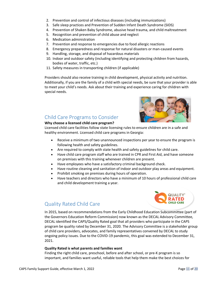- 2. Prevention and control of infectious diseases (including immunizations)
- 3. Safe sleep practices and Prevention of Sudden Infant Death Syndrome (SIDS)
- 4. Prevention of Shaken Baby Syndrome, abusive head trauma, and child maltreatment
- 5. Recognition and prevention of child abuse and neglect
- 6. Medication administration
- 7. Prevention and response to emergencies due to food allergic reactions
- 8. Emergency preparedness and response for natural disasters or man-caused events
- 9. Handling, storage, and disposal of hazardous materials
- 10. Indoor and outdoor safety (including identifying and protecting children from hazards, bodies of water, traffic, etc.)
- 11. Safety measures in transporting children (if applicable)

Providers should also receive training in child development, physical activity and nutrition. Additionally, if you are the family of a child with special needs, be sure that your provider is able to meet your child's needs. Ask about their training and experience caring for children with special needs.



## <span id="page-11-0"></span>Child Care Programs to Consider

## **Why choose a licensed child care program?**

Licensed child care facilities follow state licensing rules to ensure children are in a safe and healthy environment. Licensed child care programs in Georgia:

- Receive a minimum of two unannounced inspections per year to ensure the program is following health and safety guidelines.
- Are required to comply with state health and safety guidelines for child care.
- Have child care program staff who are trained in CPR and First Aid, and have someone on premises with this training whenever children are present.
- Have employees who have a satisfactory criminal background check.
- Have routine cleaning and sanitation of indoor and outdoor play areas and equipment.
- Prohibit smoking on premises during hours of operation.
- Have teachers and directors who have a minimum of 10 hours of professional child care and child development training a year.



## <span id="page-11-1"></span>Quality Rated Child Care

In 2015, based on recommendations from the Early Childhood Education Subcommittee (part of the Governors Education Reform Commission) now known as the DECAL Advisory Committee, DECAL identified the CAPS/Quality Rated goal that all providers who participate in the CAPS program be quality rated by December 31, 2020. The Advisory Committee is a stakeholder group of child care providers, advocates, and family representatives convened by DECAL to study ongoing policy issues. Due to the COVID-19 pandemic, this goal was extended to December 31, 2021.

## **Quality Rated is what parents and families want**

Finding the right child care, preschool, before and after school, or pre-K program is so important, and families want useful, reliable tools that help them make the best choices for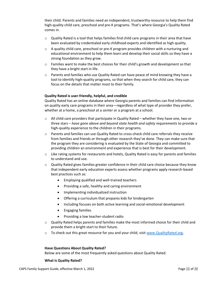their child. Parents and families need an independent, trustworthy resource to help them find high-quality child care, preschool and pre-K programs. That's where Georgia's Quality Rated comes in.

- $\circ$  Quality Rated is a tool that helps families find child care programs in their area that have been evaluated by credentialed early childhood experts and identified as high quality.
- $\circ$  A quality child care, preschool or pre-K program provides children with a nurturing and educational environment to help them learn and develop their social skills so they have a strong foundation as they grow.
- $\circ$  Families want to make the best choices for their child's growth and development so that they have a bright start in life.
- $\circ$  Parents and families who use Quality Rated can have peace of mind knowing they have a tool to identify high-quality programs, so that when they search for child care, they can focus on the details that matter most to their family.

#### **Quality Rated is user-friendly, helpful, and credible**

Quality Rated has an online database where Georgia parents and families can find information on quality early care programs in their area—regardless of what type of provider they prefer, whether at a home, a preschool at a center or a program at a school.

- $\circ$  All child care providers that participate in Quality Rated whether they have one, two or three stars – *have gone above and beyond state health and safety requirements* to provide a high-quality experience to the children in their programs.
- o Parents and families can use Quality Rated to cross-check child care referrals they receive from families and friends or through other research they've done. They can make sure that the program they are considering is evaluated by the State of Georgia and committed to providing children an environment and experience that is best for their development.
- $\circ$  Like rating systems for restaurants and hotels, Quality Rated is easy for parents and families to understand and use.
- $\circ$  Quality Rated gives families greater confidence in their child care choice because they know that independent early education experts assess whether programs apply research-based best practices such as:
	- Employing qualified and well-trained teachers
	- Providing a safe, healthy and caring environment
	- Implementing individualized instruction
	- Offering a curriculum that prepares kids for kindergarten
	- Including focuses on both active learning and social-emotional development
	- Engaging families
	- Providing a low teacher-student radio
- o Quality Rated helps parents and families make the most informed choice for their child and provide them a bright start to their future.
- $\circ$  To check out this great resource for you and your child, visi[t www.QualityRated.org.](http://www.qualityrated.org/)

#### **Have Questions About Quality Rated?**

Below are some of the most frequently asked questions about Quality Rated.

#### **What is Quality Rated?**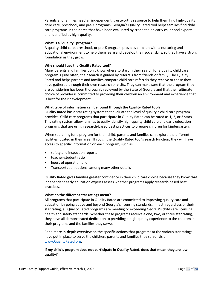Parents and families need an independent, trustworthy resource to help them find high-quality child care, preschool, and pre-K programs. Georgia's Quality Rated tool helps families find child care programs in their area that have been evaluated by credentialed early childhood experts and identified as high-quality.

#### **What is a "quality" program?**

A quality child care, preschool, or pre-K program provides children with a nurturing and educational environment to help them learn and develop their social skills, so they have a strong foundation as they grow.

#### **Why should I use the Quality Rated tool?**

Many parents and families don't know where to start in their search for a quality child care program. Quite often, their search is guided by referrals from friends or family. The Quality Rated tool helps parents and families compare child care referrals they receive or those they have gathered through their own research or visits. They can make sure that the program they are considering has been thoroughly reviewed by the State of Georgia and that their ultimate choice of provider is committed to providing their children an environment and experience that is best for their development.

#### **What type of information can be found through the Quality Rated tool?**

Quality Rated has a star rating system that evaluate the level of quality a child care program provides. Child care programs that participate in Quality Rated can be rated as 1, 2, or 3 stars. This rating system allow families to easily identify high-quality child care and early education programs that are using research-based best practices to prepare children for kindergarten.

When searching for a program for their child, parents and families can explore the different facilities located in their area. Through the Quality Rated tool's search function, they will have access to specific information on each program, such as:

- safety and inspection reports
- teacher-student ratio
- hours of operation and
- Transportation options, among many other details

Quality Rated gives families greater confidence in their child care choice because they know that independent early education experts assess whether programs apply research-based best practices.

#### **What do the different star ratings mean?**

All programs that participate in Quality Rated are committed to improving quality care and education by going above and beyond Georgia's licensing standards. In fact, regardless of their star rating, all Quality Rated programs are meeting or exceeding Georgia's child care licensing health and safety standards. Whether these programs receive a one, two, or three star rating, they have all demonstrated dedication to providing a high-quality experience to the children in their programs and the families they serve.

For a more in-depth overview on the specific actions that programs at the various star ratings have put in place to serve the children, parents and families they serve, visit [www.QualityRated.org.](http://www.qualityrated.org/)

## **If my child's program does not participate in Quality Rated, does that mean they are low quality?**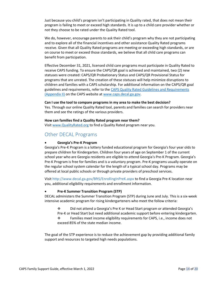Just because you child's program isn't participating in Quality rated, that does not mean their program is failing to meet or exceed high standards. It is up to a child care provider whether or not they choose to be rated under the Quality Rated tool.

We do, however, encourage parents to ask their child's program why they are not participating and to explore all of the financial incentives and other assistance Quality Rated programs receive. Given that all Quality Rated programs are meeting or exceeding high standards, or are on course to meet or exceed those standards, we believe that all child care programs can benefit from participation.

Effective December 31, 2021, licensed child care programs must participate in Quality Rated to receive CAPS funding. To ensure the CAPS/QR goal is achieved and maintained, two (2) new statuses were created: CAPS/QR Probationary Status and CAPS/QR Provisional Status for programs that are unrated. The creation of these statuses will help minimize disruptions to children and families with a CAPS scholarship. For additional information on the CAPS/QR goal guidelines and requirements, refer to the [CAPS Quality Rated Guidelines and Requirements](https://caps.decal.ga.gov/assets/downloads/CAPS/Appendix_II-CAPS%20Quality%20Rated%20Guidelines%20and%20Requirements.pdf)  [\(Appendix II\)](https://caps.decal.ga.gov/assets/downloads/CAPS/Appendix_II-CAPS%20Quality%20Rated%20Guidelines%20and%20Requirements.pdf) on the CAPS website a[t www.caps.decal.ga.gov.](http://www.caps.decal.ga.gov/)

#### **Can I use the tool to compare programs in my area to make the best decision?**

Yes. Through our online Quality Rated tool, parents and families can search for providers near them and see the ratings of the various providers.

#### **How can families find a Quality Rated program near them?**

Visit [www.QualityRated.org](file:///C:/Users/HLTA/Desktop/www.QualityRated.org) to find a Quality Rated program near you.

## <span id="page-14-0"></span>Other DECAL Programs

## • **Georgia's Pre-K Program**

Georgia's Pre-K Program is a lottery funded educational program for Georgia's four year olds to prepare children for Kindergarten. Children four years of age on September 1 of the current school year who are Georgia residents are eligible to attend Georgia's Pre-K Program. Georgia's Pre-K Program is free for families and is a voluntary program. Pre-K programs usually operate on the regular school system calendar for the length of a typical school day. Programs may be offered at local public schools or through private providers of preschool services.

Visit http://www.decal.ga.gov/BftS/EnrollingInPreK.aspx to find a Georgia Pre-K location near you, additional eligibility requirements and enrollment information.

## • **Pre-K Summer Transition Program (STP)**

DECAL administers the Summer Transition Program (STP) during June and July. This is a six-week intensive academic program for rising kindergarteners who meet the follow criteria:

❖ Did not attend a Georgia's Pre K or Head Start program or attended Georgia's Pre-K or Head Start but need additional academic support before entering kindergarten.

❖ Families meet income eligibility requirements for CAPS, i.e., income does not exceed 85% of the state median income.

The goal of the STP experience is to reduce the achievement gap by providing additional family support and resources to targeted high needs populations.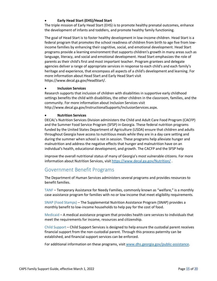## • **Early Head Start (EHS)/Head Start**

The triple mission of Early Head Start (EHS) is to promote healthy prenatal outcomes, enhance the development of infants and toddlers, and promote healthy family functioning.

The goal of Head Start is to foster healthy development in low-income children. Head Start is a federal program that promotes the school readiness of children from birth to age five from lowincome families by enhancing their cognitive, social, and emotional development. Head Start programs provide a learning environment that supports children's growth in many areas such as language, literacy, and social and emotional development. Head Start emphasizes the role of parents as their child's first and most important teacher. Program grantees and delegate agencies deliver a range of appropriate services in response to each child's and each family's heritage and experience, that encompass all aspects of a child's development and learning. For more information about Head Start and Early Head Start visit https://www.decal.ga.gov/HeadStart/.

## • **Inclusion Services**

Research supports that inclusion of children with disabilities in supportive early childhood settings benefits the child with disabilities, the other children in the classroom, families, and the community. For more information about Inclusion Services visit http://www.decal.ga.gov/InstructionalSupports/InclusionServices.aspx.

## • **Nutrition Services**

DECAL's Nutrition Services Division administers the Child and Adult Care Food Program (CACFP) and the Summer Food Service Program (SFSP) in Georgia. These federal nutrition programs funded by the United States Department of Agriculture (USDA) ensure that children and adults throughout Georgia have access to nutritious meals while they are in a day care setting and during the summer when school is not in session. These programs help alleviate hunger and malnutrition and address the negative effects that hunger and malnutrition have on an individual's health, educational development, and growth. The CACFP and the SFSP help

improve the overall nutritional status of many of Georgia's most vulnerable citizens. For more information about Nutrition Services, visit <https://www.decal.ga.gov/Nutrition/> .

## <span id="page-15-0"></span>Government Benefit Programs

The Department of Human Services administers several programs and provides resources to benefit families.

TANF – Temporary Assistance for Needy Families, commonly known as "welfare," is a monthly case assistance program for families with no or low income that meet eligibility requirements.

SNAP (Food Stamps) – The Supplemental Nutrition Assistance Program (SNAP) provides a monthly benefit to low-income households to help pay for the cost of food.

Medicaid – A medical assistance program that provides health care services to individuals that meet the requirements for income, resources and citizenship.

Child Support – Child Support Services is designed to help ensure the custodial parent receives financial support from the non-custodial parent. Through this process paternity can be established, and financial support services can be enforced.

For additional information on these programs, visit [www.dhs.georgia.gov/public-assistance.](http://www.dhs.georgia.gov/public-assistance)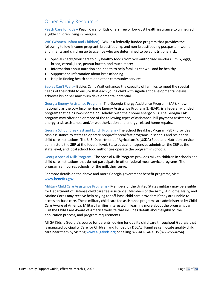## <span id="page-16-0"></span>Other Family Resources

Peach Care for Kids – Peach Care for Kids offers free or low-cost health insurance to uninsured, eligible children living in Georgia.

WIC (Women, Infant and Children) - WIC is a federally-funded program that provides the following to low-income pregnant, breastfeeding, and non-breastfeeding postpartum women, and infants and children up to age five who are determined to be at nutritional risk:

- Special checks/vouchers to buy healthy foods from WIC-authorized vendors milk, eggs, bread, cereal, juice, peanut butter, and much more;
- Information about nutrition and health to help families eat well and be healthy
- Support and information about breastfeeding
- Help in finding health care and other community services

Babies Can't Wait – Babies Can't Wait enhances the capacity of families to meet the special needs of their child to ensure that each young child with significant developmental delays achieves his or her maximum developmental potential.

Georgia Energy Assistance Program - The Georgia Energy Assistance Program (EAP), known nationally as the Low Income Home Energy Assistance Program (LIHEAP), is a federally-funded program that helps low-income households with their home energy bills. The Georgia EAP program may offer one or more of the following types of assistance: bill payment assistance, energy crisis assistance, and/or weatherization and energy-related home repairs.

Georgia School Breakfast and Lunch Program - The School Breakfast Program (SBP) provides cash assistance to states to operate nonprofit breakfast programs in schools and residential child care institutions. The U.S. Department of Agriculture's (USDA) Food and Nutrition service administers the SBP at the federal level. State education agencies administer the SBP at the state level, and local school food authorities operate the program in schools.

Georgia Special Milk Program - The Special Milk Program provides milk to children in schools and child care institutions that do not participate in other federal meal service programs. The program reimburses schools for the milk they serve.

For more details on the above and more Georgia government benefit programs, visit [www.benefits.gov.](http://www.benefits.gov/)

Military Child Care Assistance Programs - Members of the United States military may be eligible for Department of Defense child care fee assistance. Members of the Army, Air Force, Navy, and Marine Corps may receive help paying for off-base child care providers if they are unable to access on-base care. These military child care fee assistance programs are administered by Child Care Aware of America. Military families interested in learning more about the programs can visit the Child Care Aware of America website that includes details about eligibility, the application process, and program requirements.

All GA Kids is Georgia's source for parents looking for quality child care throughout Georgia that is managed by Quality Care for Children and funded by DECAL. Families can locate quality child care near them by visiting [www.allgakids.org](http://www.allgakids.org/) or calling 877-ALL-GA-KIDS (877-255-4254).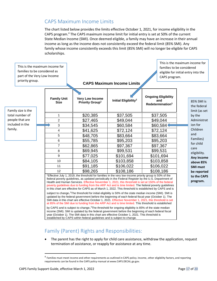## <span id="page-17-0"></span>CAPS Maximum Income Limits

The chart listed below provides the limits effective October 1, 2021, for income eligibility in the CAPS program.<sup>4</sup> The CAPS maximum income limit for initial entry is set at 50% of the current State Median Income (SMI). Once deemed eligible, a family may have an increase in their annual income as long as the income does not consistently exceed the federal limit (85% SMI). Any family whose income consistently exceeds this limit (85% SMI) will no longer be eligible for CAPS scholarships.

| This is the maximum income for<br>families to be considered as<br>part of the Very Low Income<br>priority group. |                                   | families to be considered<br>eligible for initial entry into the<br>CAPS program.<br><b>CAPS Maximum Income Limits</b>                                                                                                                                                                                                                                                                                                                                                                                                                                                                                                                                                                                                                                                                                                                                                                                                                                                                                     |                                  |                                                                   |                                            |  |
|------------------------------------------------------------------------------------------------------------------|-----------------------------------|------------------------------------------------------------------------------------------------------------------------------------------------------------------------------------------------------------------------------------------------------------------------------------------------------------------------------------------------------------------------------------------------------------------------------------------------------------------------------------------------------------------------------------------------------------------------------------------------------------------------------------------------------------------------------------------------------------------------------------------------------------------------------------------------------------------------------------------------------------------------------------------------------------------------------------------------------------------------------------------------------------|----------------------------------|-------------------------------------------------------------------|--------------------------------------------|--|
| Family size is the                                                                                               | <b>Family Unit</b><br><b>Size</b> | <b>Very Low Income</b><br>Priority Group <sup>1</sup>                                                                                                                                                                                                                                                                                                                                                                                                                                                                                                                                                                                                                                                                                                                                                                                                                                                                                                                                                      | Initial Eligibility <sup>2</sup> | <b>Ongoing Eligibility</b><br>and<br>Redetermination <sup>3</sup> | 85% SMI is<br>the federal<br>limit (as set |  |
| total number of<br>people that are<br>included in the                                                            | $\mathbf{1}$                      | \$20,385                                                                                                                                                                                                                                                                                                                                                                                                                                                                                                                                                                                                                                                                                                                                                                                                                                                                                                                                                                                                   | \$37,505                         | \$37,505                                                          | by the<br>Administrat<br>ion for           |  |
|                                                                                                                  | $\overline{c}$                    | \$27,465                                                                                                                                                                                                                                                                                                                                                                                                                                                                                                                                                                                                                                                                                                                                                                                                                                                                                                                                                                                                   | \$49,044                         | \$49,044                                                          |                                            |  |
|                                                                                                                  | 3                                 | \$34,545                                                                                                                                                                                                                                                                                                                                                                                                                                                                                                                                                                                                                                                                                                                                                                                                                                                                                                                                                                                                   | \$60,584                         | \$60,584                                                          |                                            |  |
| family.                                                                                                          | $\overline{\mathbf{4}}$           | \$41,625                                                                                                                                                                                                                                                                                                                                                                                                                                                                                                                                                                                                                                                                                                                                                                                                                                                                                                                                                                                                   | \$72,124                         | \$72,124                                                          | Children                                   |  |
|                                                                                                                  | 5                                 | \$48,705                                                                                                                                                                                                                                                                                                                                                                                                                                                                                                                                                                                                                                                                                                                                                                                                                                                                                                                                                                                                   | \$83,664                         | \$83,664                                                          | and                                        |  |
|                                                                                                                  | 6                                 | \$55,785                                                                                                                                                                                                                                                                                                                                                                                                                                                                                                                                                                                                                                                                                                                                                                                                                                                                                                                                                                                                   | \$95,203                         | \$95,203                                                          | Families)                                  |  |
|                                                                                                                  | $\overline{7}$                    | \$62,865                                                                                                                                                                                                                                                                                                                                                                                                                                                                                                                                                                                                                                                                                                                                                                                                                                                                                                                                                                                                   | \$97,367                         | \$97,367                                                          | for child                                  |  |
|                                                                                                                  | 8                                 | \$69,945                                                                                                                                                                                                                                                                                                                                                                                                                                                                                                                                                                                                                                                                                                                                                                                                                                                                                                                                                                                                   | \$99,531                         | \$99,531                                                          | care<br>eligibility.                       |  |
|                                                                                                                  | 9                                 | \$77,025                                                                                                                                                                                                                                                                                                                                                                                                                                                                                                                                                                                                                                                                                                                                                                                                                                                                                                                                                                                                   | \$101,694                        | \$101,694                                                         | Any income                                 |  |
|                                                                                                                  | 10                                | \$84,105                                                                                                                                                                                                                                                                                                                                                                                                                                                                                                                                                                                                                                                                                                                                                                                                                                                                                                                                                                                                   | \$103,858                        | \$103,858                                                         | above 85%                                  |  |
|                                                                                                                  | 11                                | \$91,185                                                                                                                                                                                                                                                                                                                                                                                                                                                                                                                                                                                                                                                                                                                                                                                                                                                                                                                                                                                                   | \$106,022                        | \$106,022                                                         | <b>SMI must</b>                            |  |
|                                                                                                                  | 12                                | \$98,265                                                                                                                                                                                                                                                                                                                                                                                                                                                                                                                                                                                                                                                                                                                                                                                                                                                                                                                                                                                                   | \$108,186                        | \$108,186                                                         | be reported                                |  |
|                                                                                                                  |                                   | <sup>1</sup> Effective July 1, 2019, the threshold for families in the very low-income priority group is 50% of the<br>federal poverty guidelines, as updated periodically in the Federal Register by the U.S. Department of<br>Health and Human Services. Effective November 1, 2021, this threshold is set at 150% of the federal<br>poverty quidelines due to funding from the ARP Act and is time limited. The federal poverty quidelines<br>in this chart are effective for CAPS as of March 1, 2022. This threshold is established by CAPS and is<br>subject to change. <sup>2</sup> The threshold for initial eligibility is 50% of the state median income (SMI). SMI is<br>updated by the federal government before the beginning of each federal fiscal year (October 1). The<br>SMI data in this chart are effective October 1, 2021. Effective November 1, 2021, this threshold is set<br>at 85% of the SMI due to funding from the ARP Act and is time limited. This threshold is established |                                  |                                                                   | to the CAPS<br>program.                    |  |

by CAPS and is subject to change.<sup>3</sup>The threshold for ongoing eligibility is 85% of the state median income (SMI). SMI is updated by the federal government before the beginning of each federal fiscal year (October 1). The SMI data in this chart are effective October 1, 2021. This threshold is established by CAPS within federal guidelines and is subject to change.

## <span id="page-17-1"></span>Family (Parent) Rights and Responsibilities:

• The parent has the right to apply for child care assistance, withdraw the application, request termination of assistance, or reapply for assistance at any time.

This is the maximum income for

<sup>&</sup>lt;sup>4</sup> Families must meet income and other requirements as outlined in CAPS policy. Income, other eligibility factors, and reporting requirements can be found in the CAPS policy manual at www.CAPS.DECAL.ga.gov.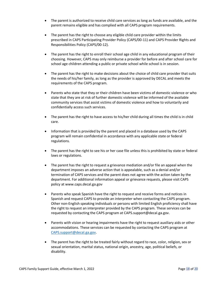- The parent is authorized to receive child care services as long as funds are available, and the parent remains eligible and has complied with all CAPS program requirements.
- The parent has the right to choose any eligible child care provider within the limits prescribed i[n CAPS Participating Provider Policy \(CAPS/00-11\)](https://caps.decal.ga.gov/assets/downloads/CAPS/11-CAPS_Policy-Participating%20Providers.pdf) and [CAPS Provider Rights and](https://caps.decal.ga.gov/assets/downloads/CAPS/12-CAPS_Policy-Child%20Care%20Provider%20Rights%20&%20Responsibilities.pdf)  [Responsibilities Policy \(CAPS/00-12\).](https://caps.decal.ga.gov/assets/downloads/CAPS/12-CAPS_Policy-Child%20Care%20Provider%20Rights%20&%20Responsibilities.pdf)
- The parent has the right to enroll their school age child in any educational program of their choosing. However, CAPS may only reimburse a provider for before and after school care for school age children attending a public or private school while school is in session.
- The parent has the right to make decisions about the choice of child care provider that suits the needs of his/her family, as long as the provider is approved by DECAL and meets the requirements of the CAPS program.
- Parents who state that they or their children have been victims of domestic violence or who state that they are at risk of further domestic violence will be informed of the available community services that assist victims of domestic violence and how to voluntarily and confidentially access such services.
- The parent has the right to have access to his/her child during all times the child is in child care.
- Information that is provided by the parent and placed in a database used by the CAPS program will remain confidential in accordance with any applicable state or federal regulations.
- The parent has the right to see his or her case file unless this is prohibited by state or federal laws or regulations.
- The parent has the right to request a grievance mediation and/or file an appeal when the department imposes an adverse action that is appealable, such as a denial and/or termination of CAPS services and the parent does not agree with the action taken by the department. For additional information appeal or grievance requests, please visit CAPS policy at www.caps.decal.ga.gov
- Parents who speak Spanish have the right to request and receive forms and notices in Spanish and request CAPS to provide an interpreter when contacting the CAPS program. Other non-English speaking individuals or persons with limited English proficiency shall have the right to request an interpreter provided by the CAPS program. These services can be requested by contacting the CAPS program at CAPS.support@decal.ga.gov.
- Parents with vision or hearing impairments have the right to request auxiliary aids or other accommodations. These services can be requested by contacting the CAPS program at [CAPS.support@decal.ga.gov.](mailto:CAPS.support@decal.ga.gov)
- The parent has the right to be treated fairly without regard to race, color, religion, sex or sexual orientation, marital status, national origin, ancestry, age, political beliefs, or disability.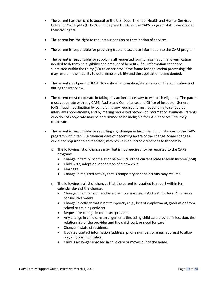- The parent has the right to appeal to the U.S. Department of Health and Human Services Office for Civil Rights (HHS OCR) if they feel DECAL or the CAPS program staff have violated their civil rights.
- The parent has the right to request suspension or termination of services.
- The parent is responsible for providing true and accurate information to the CAPS program.
- The parent is responsible for supplying all requested forms, information, and verification needed to determine eligibility and amount of benefits. If all information cannot be submitted within the thirty (30) calendar days' time frame for application processing, this may result in the inability to determine eligibility and the application being denied.
- The parent must permit DECAL to verify all information/statements on the application and during the interview.
- The parent must cooperate in taking any actions necessary to establish eligibility. The parent must cooperate with any CAPS, Audits and Compliance, and Office of Inspector General (OIG) fraud investigation by completing any required forms, responding to scheduled interview appointments, and by making requested records or information available. Parents who do not cooperate may be determined to be ineligible for CAPS services until they cooperate.
- The parent is responsible for reporting any changes in his or her circumstances to the CAPS program within ten (10) calendar days of becoming aware of the change. Some changes, while not required to be reported, may result in an increased benefit to the family.
	- $\circ$  The following list of changes may (but is not required to) be reported to the CAPS program:
		- Change in family income at or below 85% of the current State Median Income (SMI)
		- Child birth, adoption, or addition of a new child
		- Marriage
		- Change in required activity that is temporary and the activity may resume
	- $\circ$  The following is a list of changes that the parent is required to report within ten calendar days of the change:
		- Change in family income where the income exceeds 85% SMI for four (4) or more consecutive weeks
		- Change in activity that is not temporary (e.g., loss of employment, graduation from school or training activity)
		- Request for change in child care provider
		- Any change in child care arrangements (including child care provider's location, the relationship of the provider and the child, cost, or need for care).
		- Change in state of residence
		- Updated contact information (address, phone number, or email address) to allow ongoing communication
		- Child is no longer enrolled in child care or moves out of the home.